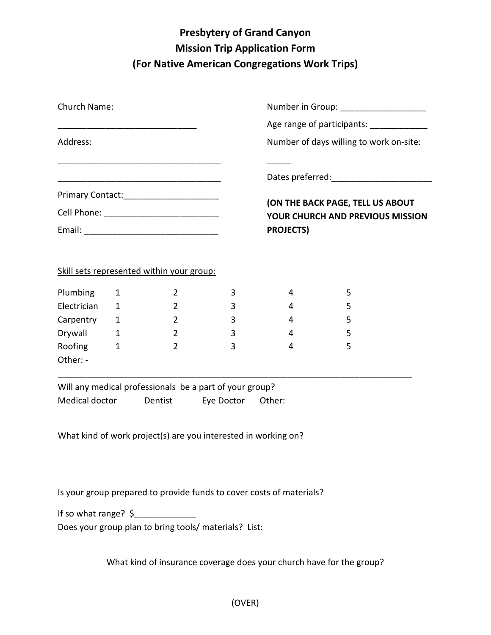## **Presbytery of Grand Canyon Mission Trip Application Form (For Native American Congregations Work Trips)**

| Church Name:                                                           |                                                        |                                                                                                                                                                                           |                       | Number in Group: ______________________                              |                                          |  |
|------------------------------------------------------------------------|--------------------------------------------------------|-------------------------------------------------------------------------------------------------------------------------------------------------------------------------------------------|-----------------------|----------------------------------------------------------------------|------------------------------------------|--|
|                                                                        |                                                        |                                                                                                                                                                                           |                       |                                                                      | Age range of participants: _____________ |  |
| Address:                                                               |                                                        |                                                                                                                                                                                           |                       | Number of days willing to work on-site:                              |                                          |  |
|                                                                        |                                                        | <u> 1989 - Jan James James Jan James James Jan James James Jan James James Jan James James Jan Jan James James J</u><br><u> 1989 - Johann Barbara, margaret eta idazlearia (h. 1989).</u> |                       |                                                                      |                                          |  |
|                                                                        |                                                        | Primary Contact:__________________________                                                                                                                                                |                       | (ON THE BACK PAGE, TELL US ABOUT<br>YOUR CHURCH AND PREVIOUS MISSION |                                          |  |
|                                                                        |                                                        |                                                                                                                                                                                           |                       |                                                                      |                                          |  |
|                                                                        |                                                        |                                                                                                                                                                                           |                       | <b>PROJECTS)</b>                                                     |                                          |  |
| Plumbing<br>Electrician<br>Carpentry<br>Drywall<br>Roofing<br>Other: - | 1<br>1<br>$\mathbf{1}$<br>$\mathbf{1}$<br>$\mathbf{1}$ | Skill sets represented within your group:<br>2<br>$\overline{2}$<br>$\overline{2}$<br>$\overline{2}$<br>$\overline{2}$                                                                    | 3<br>3<br>3<br>3<br>3 | 4<br>4<br>4<br>4<br>4                                                | 5<br>5<br>5<br>5<br>5                    |  |
| Medical doctor Dentist                                                 |                                                        | Will any medical professionals be a part of your group?<br>What kind of work project(s) are you interested in working on?                                                                 | Eye Doctor            | Other:                                                               |                                          |  |

Is your group prepared to provide funds to cover costs of materials?

If so what range?  $\frac{1}{2}$ 

Does your group plan to bring tools/ materials? List:

What kind of insurance coverage does your church have for the group?